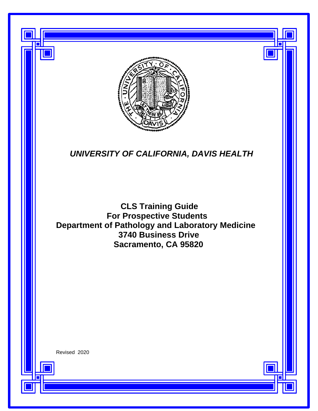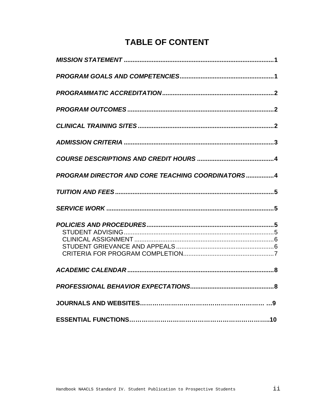# **TABLE OF CONTENT**

| PROGRAM DIRECTOR AND CORE TEACHING COORDINATORS4 |
|--------------------------------------------------|
|                                                  |
|                                                  |
|                                                  |
|                                                  |
|                                                  |
|                                                  |
|                                                  |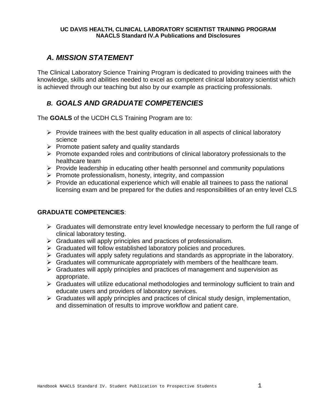#### **UC DAVIS HEALTH, CLINICAL LABORATORY SCIENTIST TRAINING PROGRAM NAACLS Standard IV.A Publications and Disclosures**

### <span id="page-2-0"></span>*A. MISSION STATEMENT*

The Clinical Laboratory Science Training Program is dedicated to providing trainees with the knowledge, skills and abilities needed to excel as competent clinical laboratory scientist which is achieved through our teaching but also by our example as practicing professionals.

### *B. GOALS AND GRADUATE COMPETENCIES*

The **GOALS** of the UCDH CLS Training Program are to:

- $\triangleright$  Provide trainees with the best quality education in all aspects of clinical laboratory science
- $\triangleright$  Promote patient safety and quality standards
- $\triangleright$  Promote expanded roles and contributions of clinical laboratory professionals to the healthcare team
- $\triangleright$  Provide leadership in educating other health personnel and community populations
- $\triangleright$  Promote professionalism, honesty, integrity, and compassion
- $\triangleright$  Provide an educational experience which will enable all trainees to pass the national licensing exam and be prepared for the duties and responsibilities of an entry level CLS

#### **GRADUATE COMPETENCIES**:

- $\triangleright$  Graduates will demonstrate entry level knowledge necessary to perform the full range of clinical laboratory testing.
- $\triangleright$  Graduates will apply principles and practices of professionalism.
- $\triangleright$  Graduated will follow established laboratory policies and procedures.
- $\triangleright$  Graduates will apply safety regulations and standards as appropriate in the laboratory.
- $\triangleright$  Graduates will communicate appropriately with members of the healthcare team.
- $\triangleright$  Graduates will apply principles and practices of management and supervision as appropriate.
- $\triangleright$  Graduates will utilize educational methodologies and terminology sufficient to train and educate users and providers of laboratory services.
- <span id="page-2-1"></span> $\triangleright$  Graduates will apply principles and practices of clinical study design, implementation, and dissemination of results to improve workflow and patient care.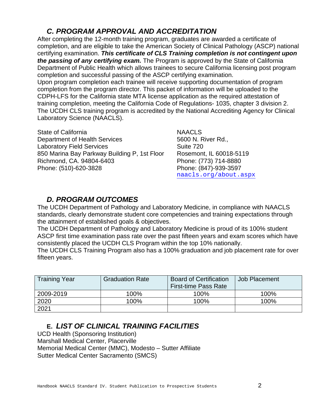### *C. PROGRAM APPROVAL AND ACCREDITATION*

After completing the 12-month training program, graduates are awarded a certificate of completion, and are eligible to take the American Society of Clinical Pathology (ASCP) national certifying examination. *This certificate of CLS Training completion is not contingent upon the passing of any certifying exam.* The Program is approved by the State of California Department of Public Health which allows trainees to secure California licensing post program completion and successful passing of the ASCP certifying examination. Upon program completion each trainee will receive supporting documentation of program completion from the program director. This packet of information will be uploaded to the CDPH-LFS for the California state MTA license application as the required attestation of training completion, meeting the California Code of Regulations- 1035, chapter 3 division 2. The UCDH CLS training program is accredited by the National Accrediting Agency for Clinical Laboratory Science (NAACLS).

State of California [NAACLS](http://www.naacls.org/) [Department of Health Services](http://www.dhs.ca.gov/ps/ls/lfsb) 5600 N. River Rd., Laboratory Field Services **Suite 720** Suite 720 850 Marina Bay Parkway Building P, 1st Floor Rosemont, IL 60018-5119<br>Richmond, CA. 94804-6403 Phone: (773) 714-8880 Richmond, CA. 94804-6403 Phone: (510)-620-3828 Phone: (847)-939-3597

[naacls.org/about.aspx](https://www.naacls.org/about.aspx)

## *D. PROGRAM OUTCOMES*

The UCDH Department of Pathology and Laboratory Medicine, in compliance with NAACLS standards, clearly demonstrate student core competencies and training expectations through the attainment of established goals & objectives.

The UCDH Department of Pathology and Laboratory Medicine is proud of its 100% student ASCP first time examination pass rate over the past fifteen years and exam scores which have consistently placed the UCDH CLS Program within the top 10% nationally.

The UCDH CLS Training Program also has a 100% graduation and job placement rate for over fifteen years.

| <b>Training Year</b> | <b>Graduation Rate</b> | <b>Board of Certification</b><br><b>First-time Pass Rate</b> | Job Placement |
|----------------------|------------------------|--------------------------------------------------------------|---------------|
| 2009-2019            | 100%                   | 100%                                                         | 100%          |
| 2020                 | 100%                   | 100%                                                         | 100%          |
| 2021                 |                        |                                                              |               |

# **E.** *LIST OF CLINICAL TRAINING FACILITIES*

UCD Health (Sponsoring Institution) Marshall Medical Center, Placerville [Memorial Medical Center \(MMC\), Modesto](http://www.memorialmedicalcenter.org/) – Sutter Affiliate [Sutter Medical Center](http://www.suttermedicalcenter.org/) Sacramento (SMCS)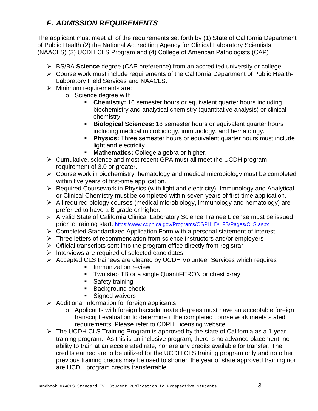# <span id="page-4-0"></span>*F. ADMISSION REQUIREMENTS*

The applicant must meet all of the requirements set forth by (1) State of California Department of Public Health (2) the National Accrediting Agency for Clinical Laboratory Scientists (NAACLS) (3) UCDH CLS Program and (4) College of American Pathologists (CAP)

- BS/BA **Science** degree (CAP preference) from an accredited university or college.
- Course work must include requirements of the California Department of Public Health-Laboratory Field Services and NAACLS.
- $\triangleright$  Minimum requirements are:
	- o Science degree with
		- **Chemistry:** 16 semester hours or equivalent quarter hours including biochemistry and analytical chemistry (quantitative analysis) or clinical chemistry
		- **Biological Sciences:** 18 semester hours or equivalent quarter hours including medical microbiology, immunology, and hematology.
		- **Physics:** Three semester hours or equivalent quarter hours must include light and electricity.
		- **Mathematics:** College algebra or higher.
- Cumulative, science and most recent GPA must all meet the UCDH program requirement of 3.0 or greater.
- $\triangleright$  Course work in biochemistry, hematology and medical microbiology must be completed within five years of first-time application.
- $\triangleright$  Required Coursework in Physics (with light and electricity), Immunology and Analytical or Clinical Chemistry must be completed within seven years of first-time application.
- $\triangleright$  All required biology courses (medical microbiology, immunology and hematology) are preferred to have a B grade or higher.
- A valid State of California Clinical Laboratory Science Trainee License must be issued prior to training start. <https://www.cdph.ca.gov/Programs/OSPHLD/LFS/Pages/CLS.aspx>
- Completed Standardized Application Form with a personal statement of interest
- $\triangleright$  Three letters of recommendation from science instructors and/or employers
- $\triangleright$  Official transcripts sent into the program office directly from registrar
- $\triangleright$  Interviews are required of selected candidates
- Accepted CLS trainees are cleared by UCDH Volunteer Services which requires
	- **Immunization review**
	- **Two step TB or a single QuantiFERON or chest x-ray**
	- **Safety training**
	- **Background check**
	- **Signed waivers**
- $\triangleright$  Additional Information for foreign applicants
	- o Applicants with foreign baccalaureate degrees must have an acceptable foreign transcript evaluation to determine if the completed course work meets stated requirements. Please refer to CDPH Licensing website.
- $\triangleright$  The UCDH CLS Training Program is approved by the state of California as a 1-year training program. As this is an inclusive program, there is no advance placement, no ability to train at an accelerated rate, nor are any credits available for transfer. The credits earned are to be utilized for the UCDH CLS training program only and no other previous training credits may be used to shorten the year of state approved training nor are UCDH program credits transferrable.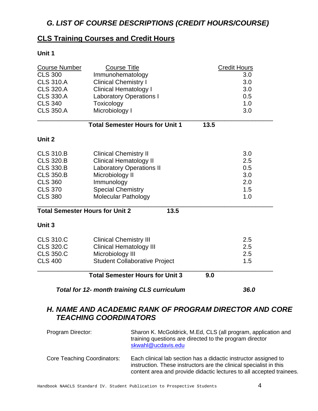# *G. LIST OF COURSE DESCRIPTIONS (CREDIT HOURS/COURSE)*

### **CLS Training Courses and Credit Hours**

#### **Unit 1**

| <b>Course Number</b>                               | <b>Course Title</b>                    | <b>Credit Hours</b> |  |  |
|----------------------------------------------------|----------------------------------------|---------------------|--|--|
| <b>CLS 300</b>                                     | Immunohematology                       | 3.0                 |  |  |
| <b>CLS 310.A</b>                                   | <b>Clinical Chemistry I</b>            | 3.0                 |  |  |
| <b>CLS 320.A</b>                                   | <b>Clinical Hematology I</b>           | 3.0                 |  |  |
| <b>CLS 330.A</b>                                   | <b>Laboratory Operations I</b>         | 0.5                 |  |  |
| <b>CLS 340</b>                                     | Toxicology                             | 1.0                 |  |  |
| <b>CLS 350.A</b>                                   | Microbiology I                         | 3.0                 |  |  |
|                                                    | <b>Total Semester Hours for Unit 1</b> | 13.5                |  |  |
| Unit 2                                             |                                        |                     |  |  |
| <b>CLS 310.B</b>                                   | <b>Clinical Chemistry II</b>           | 3.0                 |  |  |
| <b>CLS 320.B</b>                                   | <b>Clinical Hematology II</b>          | 2.5                 |  |  |
| <b>CLS 330.B</b>                                   | <b>Laboratory Operations II</b>        | 0.5                 |  |  |
| <b>CLS 350.B</b>                                   | Microbiology II                        | 3.0                 |  |  |
| <b>CLS 360</b>                                     | Immunology                             | 2.0                 |  |  |
| <b>CLS 370</b>                                     | <b>Special Chemistry</b>               | 1.5                 |  |  |
| <b>CLS 380</b>                                     | <b>Molecular Pathology</b>             | 1.0                 |  |  |
| <b>Total Semester Hours for Unit 2</b><br>13.5     |                                        |                     |  |  |
| Unit 3                                             |                                        |                     |  |  |
| <b>CLS 310.C</b>                                   | <b>Clinical Chemistry III</b>          | 2.5                 |  |  |
| <b>CLS 320.C</b>                                   | <b>Clinical Hematology III</b>         | 2.5                 |  |  |
| <b>CLS 350.C</b>                                   | Microbiology III                       | 2.5                 |  |  |
| <b>CLS 400</b>                                     | <b>Student Collaborative Project</b>   | 1.5                 |  |  |
|                                                    | <b>Total Semester Hours for Unit 3</b> | 9.0                 |  |  |
| <b>Total for 12- month training CLS curriculum</b> | 36.0                                   |                     |  |  |

### <span id="page-5-0"></span>*H. NAME AND ACADEMIC RANK OF PROGRAM DIRECTOR AND CORE TEACHING COORDINATORS*

| Program Director:                  | Sharon K. McGoldrick, M.Ed, CLS (all program, application and<br>training questions are directed to the program director<br>skwahl@ucdavis.edu                                                                |
|------------------------------------|---------------------------------------------------------------------------------------------------------------------------------------------------------------------------------------------------------------|
| <b>Core Teaching Coordinators:</b> | Each clinical lab section has a didactic instructor assigned to<br>instruction. These instructors are the clinical specialist in this<br>content area and provide didactic lectures to all accepted trainees. |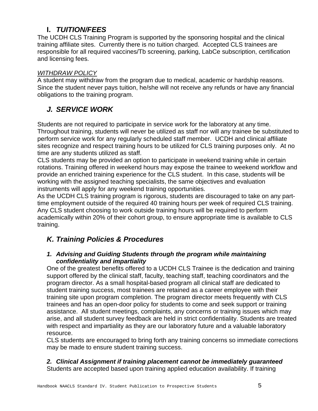### **I.** *TUITION/FEES*

The UCDH CLS Training Program is supported by the sponsoring hospital and the clinical training affiliate sites. Currently there is no tuition charged. Accepted CLS trainees are responsible for all required vaccines/Tb screening, parking, LabCe subscription, certification and licensing fees.

#### *WITHDRAW POLICY*

A student may withdraw from the program due to medical, academic or hardship reasons. Since the student never pays tuition, he/she will not receive any refunds or have any financial obligations to the training program.

# *J. SERVICE WORK*

Students are not required to participate in service work for the laboratory at any time. Throughout training, students will never be utilized as staff nor will any trainee be substituted to perform service work for any regularly scheduled staff member. UCDH and clinical affiliate sites recognize and respect training hours to be utilized for CLS training purposes only. At no time are any students utilized as staff.

CLS students may be provided an option to participate in weekend training while in certain rotations. Training offered in weekend hours may expose the trainee to weekend workflow and provide an enriched training experience for the CLS student. In this case, students will be working with the assigned teaching specialists, the same objectives and evaluation instruments will apply for any weekend training opportunities.

As the UCDH CLS training program is rigorous, students are discouraged to take on any parttime employment outside of the required 40 training hours per week of required CLS training. Any CLS student choosing to work outside training hours will be required to perform academically within 20% of their cohort group, to ensure appropriate time is available to CLS training.

# *K. Training Policies & Procedures*

#### *1. Advising and Guiding Students through the program while maintaining confidentiality and impartiality*

One of the greatest benefits offered to a UCDH CLS Trainee is the dedication and training support offered by the clinical staff, faculty, teaching staff, teaching coordinators and the program director. As a small hospital-based program all clinical staff are dedicated to student training success, most trainees are retained as a career employee with their training site upon program completion. The program director meets frequently with CLS trainees and has an open-door policy for students to come and seek support or training assistance. All student meetings, complaints, any concerns or training issues which may arise, and all student survey feedback are held in strict confidentiality. Students are treated with respect and impartiality as they are our laboratory future and a valuable laboratory resource.

CLS students are encouraged to bring forth any training concerns so immediate corrections may be made to ensure student training success.

### *2. Clinical Assignment if training placement cannot be immediately guaranteed*

Students are accepted based upon training applied education availability. If training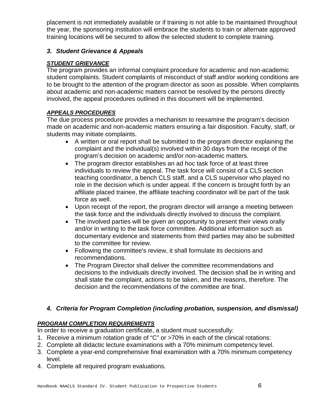placement is not immediately available or if training is not able to be maintained throughout the year, the sponsoring institution will embrace the students to train or alternate approved training locations will be secured to allow the selected student to complete training.

#### *3. Student Grievance & Appeals*

#### *STUDENT GRIEVANCE*

The program provides an informal complaint procedure for academic and non-academic student complaints. Student complaints of misconduct of staff and/or working conditions are to be brought to the attention of the program director as soon as possible. When complaints about academic and non-academic matters cannot be resolved by the persons directly involved, the appeal procedures outlined in this document will be implemented.

#### *APPEALS PROCEDURES*

The due process procedure provides a mechanism to reexamine the program's decision made on academic and non-academic matters ensuring a fair disposition. Faculty, staff, or students may initiate complaints.

- A written or oral report shall be submitted to the program director explaining the complaint and the individual(s) involved within 30 days from the receipt of the program's decision on academic and/or non-academic matters.
- The program director establishes an ad hoc task force of at least three individuals to review the appeal. The task force will consist of a CLS section teaching coordinator, a bench CLS staff, and a CLS supervisor who played no role in the decision which is under appeal. If the concern is brought forth by an affiliate placed trainee, the affiliate teaching coordinator will be part of the task force as well.
- Upon receipt of the report, the program director will arrange a meeting between the task force and the individuals directly involved to discuss the complaint.
- The involved parties will be given an opportunity to present their views orally and/or in writing to the task force committee. Additional information such as documentary evidence and statements from third parties may also be submitted to the committee for review.
- Following the committee's review, it shall formulate its decisions and recommendations.
- The Program Director shall deliver the committee recommendations and decisions to the individuals directly involved. The decision shall be in writing and shall state the complaint, actions to be taken, and the reasons, therefore. The decision and the recommendations of the committee are final.

#### *4. Criteria for Program Completion (including probation, suspension, and dismissal)*

#### *PROGRAM COMPLETION REQUIREMENTS*

In order to receive a graduation certificate, a student must successfully:

- 1. Receive a minimum rotation grade of "C" or >70% in each of the clinical rotations:
- 2. Complete all didactic lecture examinations with a 70% minimum competency level.
- 3. Complete a year-end comprehensive final examination with a 70% minimum competency level.
- 4. Complete all required program evaluations.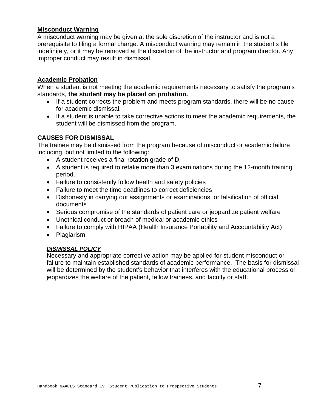#### **Misconduct Warning**

A misconduct warning may be given at the sole discretion of the instructor and is not a prerequisite to filing a formal charge. A misconduct warning may remain in the student's file indefinitely, or it may be removed at the discretion of the instructor and program director. Any improper conduct may result in dismissal.

#### **Academic Probation**

When a student is not meeting the academic requirements necessary to satisfy the program's standards, **the student may be placed on probation.**

- If a student corrects the problem and meets program standards, there will be no cause for academic dismissal.
- If a student is unable to take corrective actions to meet the academic requirements, the student will be dismissed from the program.

#### **CAUSES FOR DISMISSAL**

The trainee may be dismissed from the program because of misconduct or academic failure including, but not limited to the following:

- A student receives a final rotation grade of **D**.
- A student is required to retake more than 3 examinations during the 12-month training period.
- Failure to consistently follow health and safety policies
- Failure to meet the time deadlines to correct deficiencies
- Dishonesty in carrying out assignments or examinations, or falsification of official documents
- Serious compromise of the standards of patient care or jeopardize patient welfare
- Unethical conduct or breach of medical or academic ethics
- Failure to comply with HIPAA (Health Insurance Portability and Accountability Act)
- Plagiarism.

#### *DISMISSAL POLICY*

Necessary and appropriate corrective action may be applied for student misconduct or failure to maintain established standards of academic performance. The basis for dismissal will be determined by the student's behavior that interferes with the educational process or jeopardizes the welfare of the patient, fellow trainees, and faculty or staff.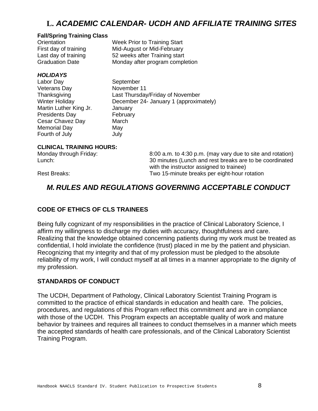# **L.** *ACADEMIC CALENDAR- UCDH AND AFFILIATE TRAINING SITES*

#### **Fall/Spring Training Class**

| Orientation            | Week Prior to Training Start    |
|------------------------|---------------------------------|
| First day of training  | Mid-August or Mid-February      |
| Last day of training   | 52 weeks after Training start   |
| <b>Graduation Date</b> | Monday after program completion |

#### *HOLIDAYS*

Labor Day September Veterans Day November 11 Martin Luther King Jr. January<br>Presidents Day February Presidents Day Cesar Chavez Day March Memorial Day **May** Fourth of July **July** July

Thanksgiving Last Thursday/Friday of November Winter Holiday December 24- January 1 (approximately)

# **CLINICAL TRAINING HOURS:**

8:00 a.m. to 4:30 p.m. (may vary due to site and rotation) Lunch: 30 minutes (Lunch and rest breaks are to be coordinated with the instructor assigned to trainee) Rest Breaks: Two 15-minute breaks per eight-hour rotation

### *M. RULES AND REGULATIONS GOVERNING ACCEPTABLE CONDUCT*

#### **CODE OF ETHICS OF CLS TRAINEES**

Being fully cognizant of my responsibilities in the practice of Clinical Laboratory Science, I affirm my willingness to discharge my duties with accuracy, thoughtfulness and care. Realizing that the knowledge obtained concerning patients during my work must be treated as confidential, I hold inviolate the confidence (trust) placed in me by the patient and physician. Recognizing that my integrity and that of my profession must be pledged to the absolute reliability of my work, I will conduct myself at all times in a manner appropriate to the dignity of my profession.

#### **STANDARDS OF CONDUCT**

The UCDH, Department of Pathology, Clinical Laboratory Scientist Training Program is committed to the practice of ethical standards in education and health care. The policies, procedures, and regulations of this Program reflect this commitment and are in compliance with those of the UCDH. This Program expects an acceptable quality of work and mature behavior by trainees and requires all trainees to conduct themselves in a manner which meets the accepted standards of health care professionals, and of the Clinical Laboratory Scientist Training Program.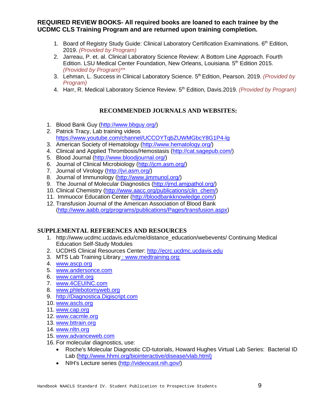#### **REQUIRED REVIEW BOOKS- All required books are loaned to each trainee by the UCDMC CLS Training Program and are returned upon training completion.**

- 1. Board of Registry Study Guide: Clinical Laboratory Certification Examinations. 6<sup>th</sup> Edition, 2019. *(Provided by Program)*
- 2. Jarreau, P. et. al. Clinical Laboratory Science Review: A Bottom Line Approach. Fourth Edition. LSU Medical Center Foundation, New Orleans, Louisiana. 5<sup>th</sup> Edition 2015. *(Provided by Program)\*\**
- 3. Lehman, L. Success in Clinical Laboratory Science. 5th Edition, Pearson. 2019. *(Provided by Program)*
- 4. Harr, R. Medical Laboratory Science Review. 5th Edition, Davis.2019. *(Provided by Program)*

#### **RECOMMENDED JOURNALS AND WEBSITES:**

- 1. Blood Bank Guy [\(http://www.bbguy.org/\)](http://www.bbguy.org/)
- 2. Patrick Tracy, Lab training videos <https://www.youtube.com/channel/UCCOYTqbZUWMGbcY8G1P4-lg>
- 3. American Society of Hematology [\(http://www.hematology.org/\)](http://www.hematology.org/)
- 4. Clinical and Applied Thrombosis/Hemostasis [\(http://cat.sagepub.com/\)](http://cat.sagepub.com/)
- 5. Blood Journal [\(http://www.bloodjournal.org/\)](http://www.bloodjournal.org/)
- 6. Journal of Clinical Microbiology [\(http://jcm.asm.org/\)](http://jcm.asm.org/)
- 7. Journal of Virology [\(http://jvi.asm.org/\)](http://jvi.asm.org/)
- 8. Journal of Immunology [\(http://www.jimmunol.org/\)](http://www.jimmunol.org/)
- 9. The Journal of Molecular Diagnostics (http://jmd.amipathol.org/)
- 10. Clinical Chemistry [\(http://www.aacc.org/publications/clin\\_chem/\)](http://www.aacc.org/publications/clin_chem/)
- 11. Immuocor Education Center [\(http://bloodbankknowledge.com/\)](http://bloodbankknowledge.com/)
- 12. Transfusion Journal of the American Association of Blood Bank [\(http://www.aabb.org/programs/publications/Pages/transfusion.aspx\)](http://www.aabb.org/programs/publications/Pages/transfusion.aspx)

#### **SUPPLEMENTAL REFERENCES AND RESOURCES**

- 1. [http://www.ucdmc.ucdavis.edu/cme/distance\\_education/webevents/](http://www.ucdmc.ucdavis.edu/cme/distance_education/webevents/) Continuing Medical Education Self-Study Modules
- 2. UCDHS Clinical Resources Center: [http://ecrc.ucdmc.ucdavis.edu](http://ecrc.ucdmc.ucdavis.edu/)
- 3. MTS Lab Training Library : [www.medtraining.org:](http://www.medtraining.org/)
- 4. [www.ascp.org](http://www.ascp.org/)
- 5. [www.andersonce.com](http://www.andersonce.com/)
- 6. [www.camlt.org](http://www.camlt.org/)
- 7. [www.4CEUINC.com](http://www.4ceuinc.com/)
- 8. [www.phlebotomyweb.org](http://www.phlebotomyweb.org/)
- 9. [http://Diagnostica.Digiscript.com](http://diagnostica.digiscript.com/)
- 10. [www.ascls.org](http://www.ascls.org/)
- 11. [www.cap.org](http://www.cap.org/)
- 12. [www.cacmle.org](http://www.cacmle.org/)
- 13. [www.bttrain.org](http://www.bttrain.org/)
- 14. [www.nltn.org](http://www.nltn.org/)
- 15. [www.advanceweb.com](http://www.advanceweb.com/)
- 16. For molecular diagnostics, use:
	- Roche's Molecular Diagnostic CD-tutorials, Howard Hughes Virtual Lab Series: Bacterial ID Lab [\(http://www.hhmi.org/biointeractive/disease/vlab.html\)](http://www.hhmi.org/biointeractive)
	- NIH's Lecture series [\(http://videocast.nih.gov/\)](http://videocast.nih.gov/)